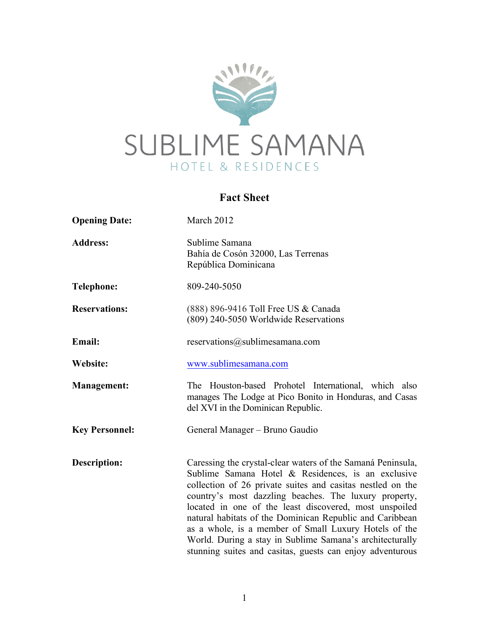

# **Fact Sheet**

| <b>Opening Date:</b>  | March 2012                                                                                                                                                                                                                                                                                                                                                                                                                                                                                                                                       |
|-----------------------|--------------------------------------------------------------------------------------------------------------------------------------------------------------------------------------------------------------------------------------------------------------------------------------------------------------------------------------------------------------------------------------------------------------------------------------------------------------------------------------------------------------------------------------------------|
| <b>Address:</b>       | Sublime Samana<br>Bahía de Cosón 32000, Las Terrenas<br>República Dominicana                                                                                                                                                                                                                                                                                                                                                                                                                                                                     |
| <b>Telephone:</b>     | 809-240-5050                                                                                                                                                                                                                                                                                                                                                                                                                                                                                                                                     |
| <b>Reservations:</b>  | (888) 896-9416 Toll Free US & Canada<br>(809) 240-5050 Worldwide Reservations                                                                                                                                                                                                                                                                                                                                                                                                                                                                    |
| Email:                | reservations@sublimesamana.com                                                                                                                                                                                                                                                                                                                                                                                                                                                                                                                   |
| Website:              | www.sublimesamana.com                                                                                                                                                                                                                                                                                                                                                                                                                                                                                                                            |
| <b>Management:</b>    | The Houston-based Prohotel International, which also<br>manages The Lodge at Pico Bonito in Honduras, and Casas<br>del XVI in the Dominican Republic.                                                                                                                                                                                                                                                                                                                                                                                            |
| <b>Key Personnel:</b> | General Manager – Bruno Gaudio                                                                                                                                                                                                                                                                                                                                                                                                                                                                                                                   |
| <b>Description:</b>   | Caressing the crystal-clear waters of the Samaná Peninsula,<br>Sublime Samana Hotel & Residences, is an exclusive<br>collection of 26 private suites and casitas nestled on the<br>country's most dazzling beaches. The luxury property,<br>located in one of the least discovered, most unspoiled<br>natural habitats of the Dominican Republic and Caribbean<br>as a whole, is a member of Small Luxury Hotels of the<br>World. During a stay in Sublime Samana's architecturally<br>stunning suites and casitas, guests can enjoy adventurous |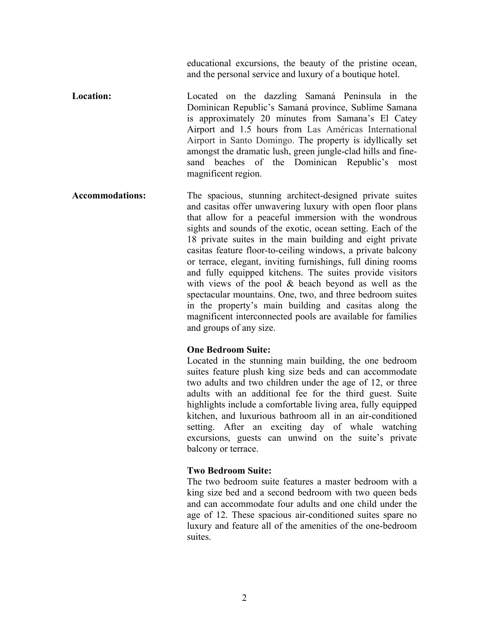educational excursions, the beauty of the pristine ocean, and the personal service and luxury of a boutique hotel.

- **Location:** Located on the dazzling Samaná Peninsula in the Dominican Republic's Samaná province, Sublime Samana is approximately 20 minutes from Samana's El Catey Airport and 1.5 hours from Las Américas International Airport in Santo Domingo. The property is idyllically set amongst the dramatic lush, green jungle-clad hills and finesand beaches of the Dominican Republic's most magnificent region.
- **Accommodations:** The spacious, stunning architect-designed private suites and casitas offer unwavering luxury with open floor plans that allow for a peaceful immersion with the wondrous sights and sounds of the exotic, ocean setting. Each of the 18 private suites in the main building and eight private casitas feature floor-to-ceiling windows, a private balcony or terrace, elegant, inviting furnishings, full dining rooms and fully equipped kitchens. The suites provide visitors with views of the pool & beach beyond as well as the spectacular mountains. One, two, and three bedroom suites in the property's main building and casitas along the magnificent interconnected pools are available for families and groups of any size.

# **One Bedroom Suite:**

Located in the stunning main building, the one bedroom suites feature plush king size beds and can accommodate two adults and two children under the age of 12, or three adults with an additional fee for the third guest. Suite highlights include a comfortable living area, fully equipped kitchen, and luxurious bathroom all in an air-conditioned setting. After an exciting day of whale watching excursions, guests can unwind on the suite's private balcony or terrace.

#### **Two Bedroom Suite:**

The two bedroom suite features a master bedroom with a king size bed and a second bedroom with two queen beds and can accommodate four adults and one child under the age of 12. These spacious air-conditioned suites spare no luxury and feature all of the amenities of the one-bedroom suites.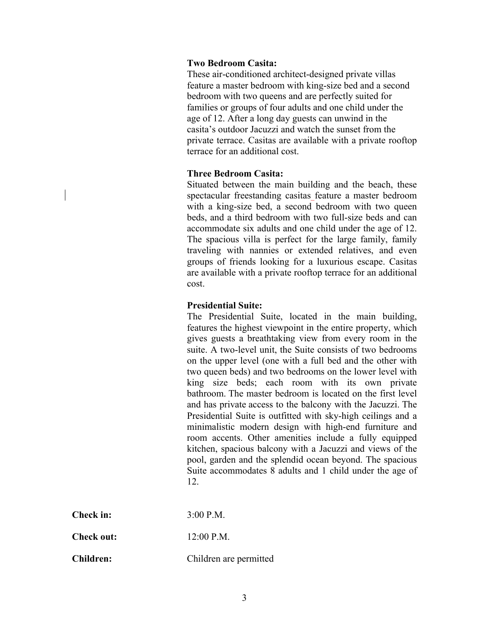# **Two Bedroom Casita:**

These air-conditioned architect-designed private villas feature a master bedroom with king-size bed and a second bedroom with two queens and are perfectly suited for families or groups of four adults and one child under the age of 12. After a long day guests can unwind in the casita's outdoor Jacuzzi and watch the sunset from the private terrace. Casitas are available with a private rooftop terrace for an additional cost.

#### **Three Bedroom Casita:**

Situated between the main building and the beach, these spectacular freestanding casitas feature a master bedroom with a king-size bed, a second bedroom with two queen beds, and a third bedroom with two full-size beds and can accommodate six adults and one child under the age of 12. The spacious villa is perfect for the large family, family traveling with nannies or extended relatives, and even groups of friends looking for a luxurious escape. Casitas are available with a private rooftop terrace for an additional cost.

# **Presidential Suite:**

The Presidential Suite, located in the main building, features the highest viewpoint in the entire property, which gives guests a breathtaking view from every room in the suite. A two-level unit, the Suite consists of two bedrooms on the upper level (one with a full bed and the other with two queen beds) and two bedrooms on the lower level with king size beds; each room with its own private bathroom. The master bedroom is located on the first level and has private access to the balcony with the Jacuzzi. The Presidential Suite is outfitted with sky-high ceilings and a minimalistic modern design with high-end furniture and room accents. Other amenities include a fully equipped kitchen, spacious balcony with a Jacuzzi and views of the pool, garden and the splendid ocean beyond. The spacious Suite accommodates 8 adults and 1 child under the age of 12.

| Check in: | $3:00$ P.M. |
|-----------|-------------|
|           |             |

**Check out:** 12:00 P.M.

**Children:** Children are permitted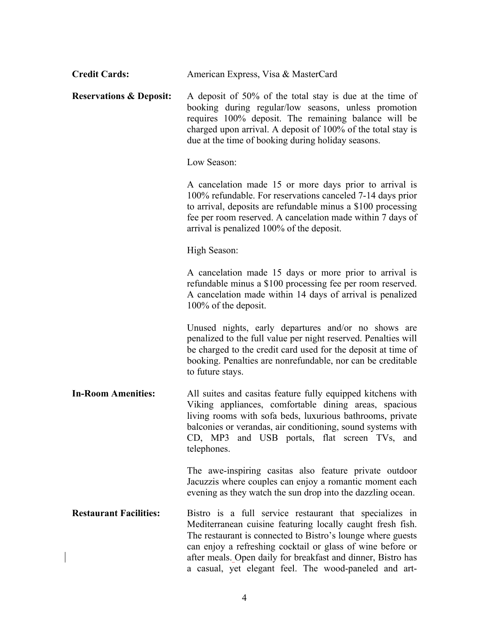| <b>Credit Cards:</b>               | American Express, Visa & MasterCard                                                                                                                                                                                                                                                                                                                                         |
|------------------------------------|-----------------------------------------------------------------------------------------------------------------------------------------------------------------------------------------------------------------------------------------------------------------------------------------------------------------------------------------------------------------------------|
| <b>Reservations &amp; Deposit:</b> | A deposit of 50% of the total stay is due at the time of<br>booking during regular/low seasons, unless promotion<br>requires 100% deposit. The remaining balance will be<br>charged upon arrival. A deposit of 100% of the total stay is<br>due at the time of booking during holiday seasons.                                                                              |
|                                    | Low Season:                                                                                                                                                                                                                                                                                                                                                                 |
|                                    | A cancelation made 15 or more days prior to arrival is<br>100% refundable. For reservations canceled 7-14 days prior<br>to arrival, deposits are refundable minus a \$100 processing<br>fee per room reserved. A cancelation made within 7 days of<br>arrival is penalized 100% of the deposit.                                                                             |
|                                    | High Season:                                                                                                                                                                                                                                                                                                                                                                |
|                                    | A cancelation made 15 days or more prior to arrival is<br>refundable minus a \$100 processing fee per room reserved.<br>A cancelation made within 14 days of arrival is penalized<br>100% of the deposit.                                                                                                                                                                   |
|                                    | Unused nights, early departures and/or no shows are<br>penalized to the full value per night reserved. Penalties will<br>be charged to the credit card used for the deposit at time of<br>booking. Penalties are nonrefundable, nor can be creditable<br>to future stays.                                                                                                   |
| <b>In-Room Amenities:</b>          | All suites and casitas feature fully equipped kitchens with<br>Viking appliances, comfortable dining areas, spacious<br>living rooms with sofa beds, luxurious bathrooms, private<br>balconies or verandas, air conditioning, sound systems with<br>CD, MP3 and USB portals, flat screen TVs, and<br>telephones.                                                            |
|                                    | The awe-inspiring casitas also feature private outdoor<br>Jacuzzis where couples can enjoy a romantic moment each<br>evening as they watch the sun drop into the dazzling ocean.                                                                                                                                                                                            |
| <b>Restaurant Facilities:</b>      | Bistro is a full service restaurant that specializes in<br>Mediterranean cuisine featuring locally caught fresh fish.<br>The restaurant is connected to Bistro's lounge where guests<br>can enjoy a refreshing cocktail or glass of wine before or<br>after meals. Open daily for breakfast and dinner, Bistro has<br>a casual, yet elegant feel. The wood-paneled and art- |

 $\begin{array}{c} \hline \end{array}$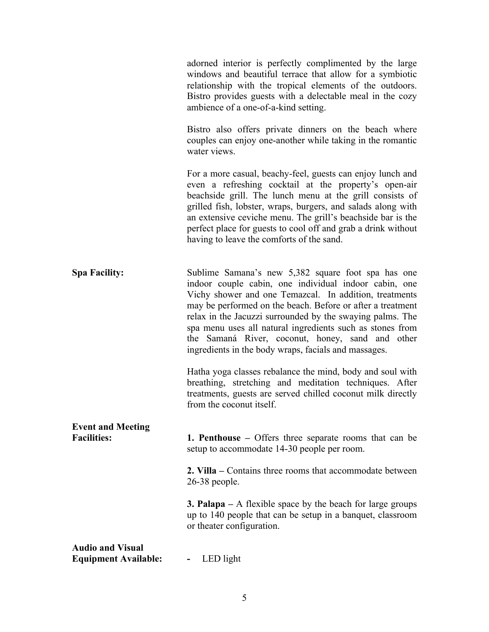adorned interior is perfectly complimented by the large windows and beautiful terrace that allow for a symbiotic relationship with the tropical elements of the outdoors. Bistro provides guests with a delectable meal in the cozy ambience of a one-of-a-kind setting.

Bistro also offers private dinners on the beach where couples can enjoy one-another while taking in the romantic water views.

For a more casual, beachy-feel, guests can enjoy lunch and even a refreshing cocktail at the property's open-air beachside grill. The lunch menu at the grill consists of grilled fish, lobster, wraps, burgers, and salads along with an extensive ceviche menu. The grill's beachside bar is the perfect place for guests to cool off and grab a drink without having to leave the comforts of the sand.

**Spa Facility:** Sublime Samana's new 5,382 square foot spa has one indoor couple cabin, one individual indoor cabin, one Vichy shower and one Temazcal. In addition, treatments may be performed on the beach. Before or after a treatment relax in the Jacuzzi surrounded by the swaying palms. The spa menu uses all natural ingredients such as stones from the Samaná River, coconut, honey, sand and other ingredients in the body wraps, facials and massages.

> Hatha yoga classes rebalance the mind, body and soul with breathing, stretching and meditation techniques. After treatments, guests are served chilled coconut milk directly from the coconut itself.

# **Event and Meeting Facilities: 1. Penthouse –** Offers three separate rooms that can be setup to accommodate 14-30 people per room.

**2. Villa –** Contains three rooms that accommodate between 26-38 people.

**3. Palapa –** A flexible space by the beach for large groups up to 140 people that can be setup in a banquet, classroom or theater configuration.

# **Audio and Visual Equipment Available: -** LED light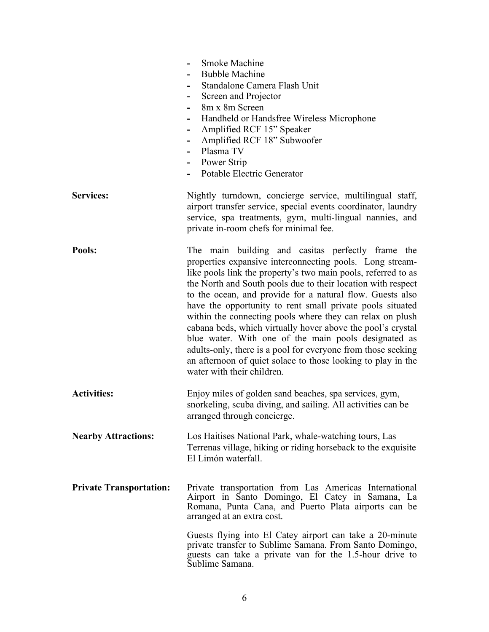|                                | Smoke Machine<br><b>Bubble Machine</b><br>Standalone Camera Flash Unit<br>Screen and Projector<br>-<br>8m x 8m Screen<br>Handheld or Handsfree Wireless Microphone<br>Amplified RCF 15" Speaker<br>-<br>Amplified RCF 18" Subwoofer<br>-<br>Plasma TV<br>Power Strip<br>۰<br>Potable Electric Generator                                                                                                                                                                                                                                                                                                                                                                                                                    |
|--------------------------------|----------------------------------------------------------------------------------------------------------------------------------------------------------------------------------------------------------------------------------------------------------------------------------------------------------------------------------------------------------------------------------------------------------------------------------------------------------------------------------------------------------------------------------------------------------------------------------------------------------------------------------------------------------------------------------------------------------------------------|
| <b>Services:</b>               | Nightly turndown, concierge service, multilingual staff,<br>airport transfer service, special events coordinator, laundry<br>service, spa treatments, gym, multi-lingual nannies, and<br>private in-room chefs for minimal fee.                                                                                                                                                                                                                                                                                                                                                                                                                                                                                            |
| Pools:                         | The main building and casitas perfectly frame the<br>properties expansive interconnecting pools. Long stream-<br>like pools link the property's two main pools, referred to as<br>the North and South pools due to their location with respect<br>to the ocean, and provide for a natural flow. Guests also<br>have the opportunity to rent small private pools situated<br>within the connecting pools where they can relax on plush<br>cabana beds, which virtually hover above the pool's crystal<br>blue water. With one of the main pools designated as<br>adults-only, there is a pool for everyone from those seeking<br>an afternoon of quiet solace to those looking to play in the<br>water with their children. |
| <b>Activities:</b>             | Enjoy miles of golden sand beaches, spa services, gym,<br>snorkeling, scuba diving, and sailing. All activities can be<br>arranged through concierge.                                                                                                                                                                                                                                                                                                                                                                                                                                                                                                                                                                      |
| <b>Nearby Attractions:</b>     | Los Haitises National Park, whale-watching tours, Las<br>Terrenas village, hiking or riding horseback to the exquisite<br>El Limón waterfall.                                                                                                                                                                                                                                                                                                                                                                                                                                                                                                                                                                              |
| <b>Private Transportation:</b> | Private transportation from Las Americas International<br>Airport in Santo Domingo, El Catey in Samana, La<br>Romana, Punta Cana, and Puerto Plata airports can be<br>arranged at an extra cost.                                                                                                                                                                                                                                                                                                                                                                                                                                                                                                                           |
|                                | Guests flying into El Catey airport can take a 20-minute<br>private transfer to Sublime Samana. From Santo Domingo,<br>guests can take a private van for the 1.5-hour drive to<br>Sublime Samana.                                                                                                                                                                                                                                                                                                                                                                                                                                                                                                                          |